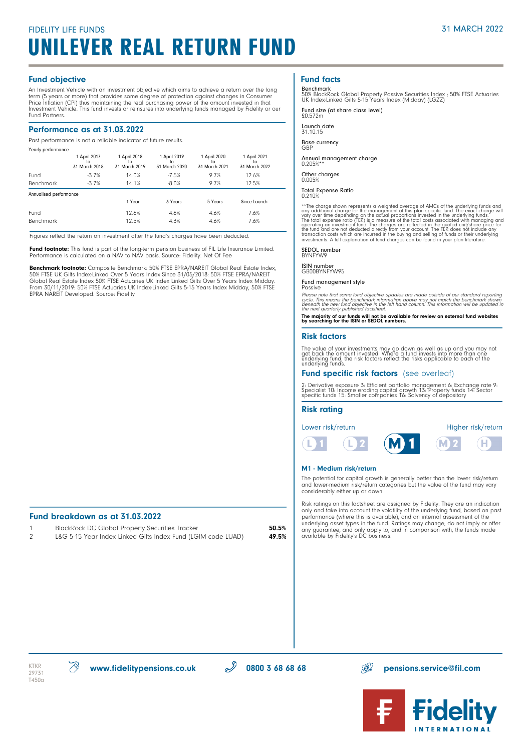# FIDELITY LIFE FUNDS UNILEVER REAL RETURN FUND

#### Fund objective

An Investment Vehicle with an investment objective which aims to achieve a return over the long term (5 years or more) that provides some degree of protection against changes in Consumer Price Inflation (CPI) thus maintaining the real purchasing power of the amount invested in that Investment Vehicle. This fund invests or reinsures into underlying funds managed by Fidelity or our Fund Partners.

#### Performance as at 31.03.2022

Past performance is not a reliable indicator of future results.

| Yearly performance     |                                     |                                     |                                     |                                     |                                     |  |
|------------------------|-------------------------------------|-------------------------------------|-------------------------------------|-------------------------------------|-------------------------------------|--|
|                        | 1 April 2017<br>to<br>31 March 2018 | 1 April 2018<br>to<br>31 March 2019 | 1 April 2019<br>to<br>31 March 2020 | 1 April 2020<br>to<br>31 March 2021 | 1 April 2021<br>to<br>31 March 2022 |  |
| Fund                   | $-3.7%$                             | 14.0%                               | $-7.5%$                             | 9.7%                                | 12.6%                               |  |
| Benchmark              | $-3.7%$                             | 14.1%                               | $-8.0%$                             | 9.7%                                | 12.5%                               |  |
| Annualised performance |                                     |                                     |                                     |                                     |                                     |  |
|                        |                                     | 1 Year                              | 3 Years                             | 5 Years                             | Since Launch                        |  |
| Fund                   |                                     | 12.6%                               | 4.6%                                | 4.6%                                | 7.6%                                |  |
| <b>Benchmark</b>       |                                     | 12.5%                               | 4.3%                                | 4.6%                                | 7.6%                                |  |

Figures reflect the return on investment after the fund's charges have been deducted.

Fund footnote: This fund is part of the long-term pension business of FIL Life Insurance Limited. Performance is calculated on a NAV to NAV basis. Source: Fidelity. Net Of Fee

Benchmark footnote: Composite Benchmark: 50% FTSE EPRA/NAREIT Global Real Estate Index, 50% FTSE UK Gilts Index-Linked Over 5 Years Index Since 31/05/2018: 50% FTSE EPRA/NAREIT Global Real Estate Index 50% FTSE Actuaries UK Index Linked Gilts Over 5 Years Index Midday. From 30/11/2019: 50% FTSE Actuaries UK Index-Linked Gilts 5-15 Years Index Midday, 50% FTSE EPRA NAREIT Developed. Source: Fidelity

#### Fund breakdown as at 31.03.2022

| BlackRock DC Global Property Securities Tracker              | 50.5% |
|--------------------------------------------------------------|-------|
| L&G 5-15 Year Index Linked Gilts Index Fund (LGIM code LUAD) | 49.5% |

## Fund facts

Benchmark 50% BlackRock Global Property Passive Securities Index ; 50% FTSE Actuaries UK Index-Linked Gilts 5-15 Years Index (Midday) (LGZZ)

Fund size (at share class level) £0.572m

Launch date 31.10.15

Base currency GBP

Annual management charge 0.205%\*\* Other charges

0.005%

Total Expense Ratio 0.210%

\*\*The charge shown represents a weighted average of AMCs of the underlying funds and<br>any additional charge for the management of this plan specific fund. The exact charge will<br>vary over time depending on the acudal proport

SEDOL number BYNFYW9

ISIN number GB00BYNFYW95

Fund management style

Passive<br>Please note that some fund objective updates are made outside of our standard reporting<br>cycle. This means the benchmark information above may not match the benchmark shown<br>beneath the new fund objective in the left

The majority of our funds will not be available for review on external fund websites by searching for the ISIN or SEDOL numbers.

#### Risk factors

The value of your investments may go down as well as up and you may not<br>get back the amount invested. Where a fund invests into more than one<br>underlying fund, the risk factors reflect the risks applicable to each of the<br>un

#### Fund specific risk factors (see overleaf)

2: Derivative exposure 3: Efficient portfolio management 6: Exchange rate 9:<br>Specialist 10: Income eroding capital growth 13: Property funds 14: Sector<br>specific funds 15: Smaller companies 16: Solvency of depositary

#### Risk rating

Lower risk/return



Higher risk/return

#### M1 - Medium risk/return

The potential for capital growth is generally better than the lower risk/return and lower-medium risk/return categories but the value of the fund may vary considerably either up or down.

Risk ratings on this factsheet are assigned by Fidelity. They are an indication only and take into account the volatility of the underlying fund, based on past performance (where this is available), and an internal assessment of the underlying asset types in the fund. Ratings may change, do not imply or offer any guarantee, and only apply to, and in comparison with, the funds made available by Fidelity's DC business.



1  $\mathcal{D}$ 



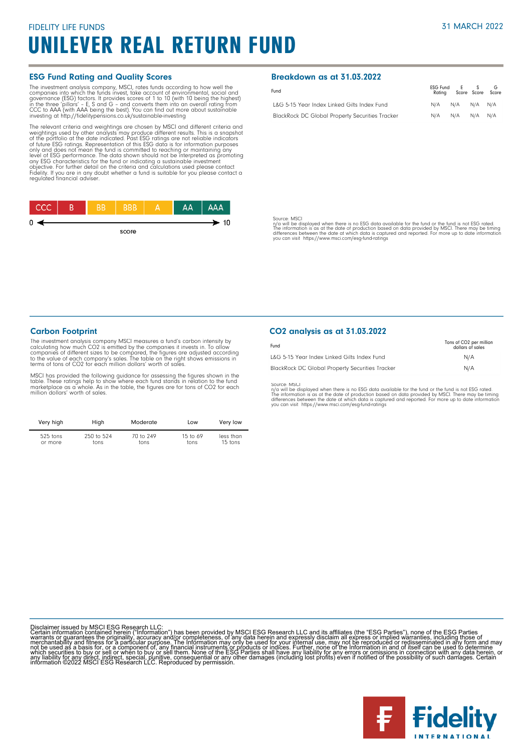# FIDELITY LIFE FUNDS UNILEVER REAL RETURN FUND

#### ESG Fund Rating and Quality Scores

The investment analysis company, MSCI, rates funds according to how well the forepanies into which the funds invest, take account of environmental, social and governance (ESG) factors. It provides scores of 1 to 10 (with 1

The relevant criteria and weightings are chosen by MSCI and different criteria and<br>weightings used by other analysts may produce different results. This is a snapshot<br>of the po<u>rtfo</u>lio at the date indicated. Past ESG rati of tuture ESG ratings. Representation of this ESG data is for information purposes<br>only and does not mean the fund is committed to reaching or maintaining any<br>level of ESG performance. The data shown should not be interpre



#### Breakdown as at 31.03.2022

| Fund                                                   | ESG Fund E S G | Rating Score Score Score |  |
|--------------------------------------------------------|----------------|--------------------------|--|
| L&G 5-15 Year Index Linked Gilts Index Fund            |                | N/A N/A N/A N/A          |  |
| <b>BlackRock DC Global Property Securities Tracker</b> |                | N/A N/A N/A N/A          |  |

Source: MSCI

n/a will be displayed when there is no ESG data available for the fund or the fund is not ESG rated.<br>The information is as at the date of production based on data provided by MSCI. There may be timing<br>differences between t

#### Carbon Footprint

The investment analysis company MSCI measures a fund's carbon intensity by calculating how much CO2 is emitted by the companies it invests in. To allow<br>companies of different sizes to be compared, the figures are adjusted according<br>to the value of each company's sales. The table on the right show terms of tons of CO2 for each million dollars' worth of sales.

MSCI has provided the following guidance for assessing the figures shown in the<br>table. These ratings help to show where each fund stands in relation to the fund<br>marketplace as a whole. As in the table, the figures are for

| Very high  | High       | Moderate  | Low        | Very low  |
|------------|------------|-----------|------------|-----------|
| $525$ tons | 250 to 524 | 70 to 249 | 15 to $69$ | less than |
| or more    | tons       | tons      | tons       | 15 tons   |

#### CO2 analysis as at 31.03.2022

| Fund                                                   | Tons of CO <sub>2</sub> per million<br>dollars of sales |
|--------------------------------------------------------|---------------------------------------------------------|
| L&G 5-15 Year Index Linked Gilts Index Fund            | N/A                                                     |
| <b>BlackRock DC Global Property Securities Tracker</b> | N/A                                                     |

Source: MSCI<br>ny'a will be displayed when there is no ESG data available for the fund or the fund is not ESG rated.<br>The information is as at the date of production based on data provided by MSCI. There may be timing<br>differe

Disclaimer issued by MSCI ESG Research LLC:<br>Certain information contained herein ("Information") has been provided by MSCI ESG Research LLC and its affiliates (the "ESG Parties"), none of the ESG Parties<br>Certain informatio

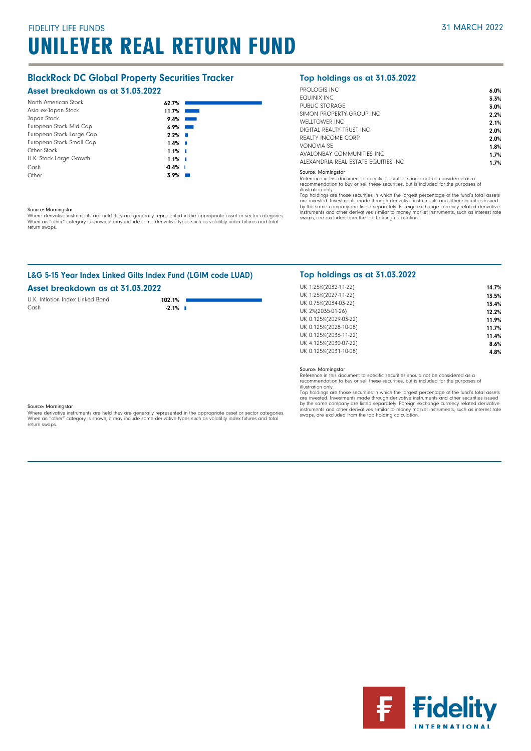# FIDELITY LIFE FUNDS UNILEVER REAL RETURN FUND

# BlackRock DC Global Property Securities Tracker

## Asset breakdown as at 31.03.2022

| North American Stock     | 62.7%     |      |
|--------------------------|-----------|------|
| Asia ex-Japan Stock      | 11.7%     |      |
| Japan Stock              | 9.4%      |      |
| European Stock Mid Cap   | 6.9%      |      |
| European Stock Large Cap | 2.2%      |      |
| European Stock Small Cap | 1.4%      | - 11 |
| Other Stock              | $1.1\%$ I |      |
| U.K. Stock Large Growth  | 1.1%      |      |
| Cash                     | $-0.4%$   |      |
| Other                    | 3.9%      |      |

#### Source: Morningstar

Where derivative instruments are held they are generally represented in the appropriate asset or sector categories.<br>When an "other" category is shown, it may include some derivative types such as volatility index futures a return swaps.

# L&G 5-15 Year Index Linked Gilts Index Fund (LGIM code LUAD)

### Asset breakdown as at 31.03.2022

U.K. Inflation Index Linked Bond<br>Cash **102.1%** Cash **-2.1%** 

## Top holdings as at 31.03.2022

| PROLOGIS INC.                        | 6.0% |
|--------------------------------------|------|
| FOUINIX INC                          | 3.3% |
| PUBLIC STORAGE                       | 3.0% |
| SIMON PROPERTY GROUP INC.            | 2.2% |
| <b>WELLTOWER INC</b>                 | 2.1% |
| DIGITAL REALTY TRUST INC.            | 2.0% |
| REALTY INCOME CORP                   | 2.0% |
| VONOVIA SF                           | 1.8% |
| AVALONBAY COMMUNITIES INC.           | 1.7% |
| ALEXANDRIA REAL ESTATE FOUITIES INC. | 1.7% |

#### Source: Morningstar

Reference in this document to specific securities should not be considered as a recommendation to buy or sell these securities, but is included for the purposes of

illustration only.

Top holdings are those securities in which the largest percentage of the fund's total assets are invested. Investments made through derivative instruments and other securities issued by the same company are listed separately. Foreign exchange currency related derivative<br>instruments and other derivatives similar to money market instruments, such as interest rate<br>swaps, are excluded from the top holding

### Top holdings as at 31.03.2022

| UK 1.25%(2032-11-22)  | 14.7% |
|-----------------------|-------|
| UK 1.25%(2027-11-22)  | 13.5% |
| UK 0.75%(2034-03-22)  | 13.4% |
| UK 2%(2035-01-26)     | 12.2% |
| UK 0.125%(2029-03-22) | 11.9% |
| UK 0.125%(2028-10-08) | 11.7% |
| UK 0.125%(2036-11-22) | 11.4% |
| UK 4.125%(2030-07-22) | 8.6%  |
| UK 0.125%(2031-10-08) | 4.8%  |
|                       |       |

Source: Morningstar

Reference in this document to specific securities should not be considered as a recommendation to buy or sell these securities, but is included for the purposes of illustration only.

Top holdings are those securities in which the largest percentage of the fund's total assets<br>are invested. Investments made through derivative instruments and other securities issued<br>by the same company are listed separate instruments and other derivatives similar to money market instruments, such as interest rate swaps, are excluded from the top holding calculation.

#### Source: Morningstar

Where derivative instruments are held they are generally represented in the appropriate asset or sector categories. When an "other" category is shown, it may include some derivative types such as volatility index futures and total return swaps.